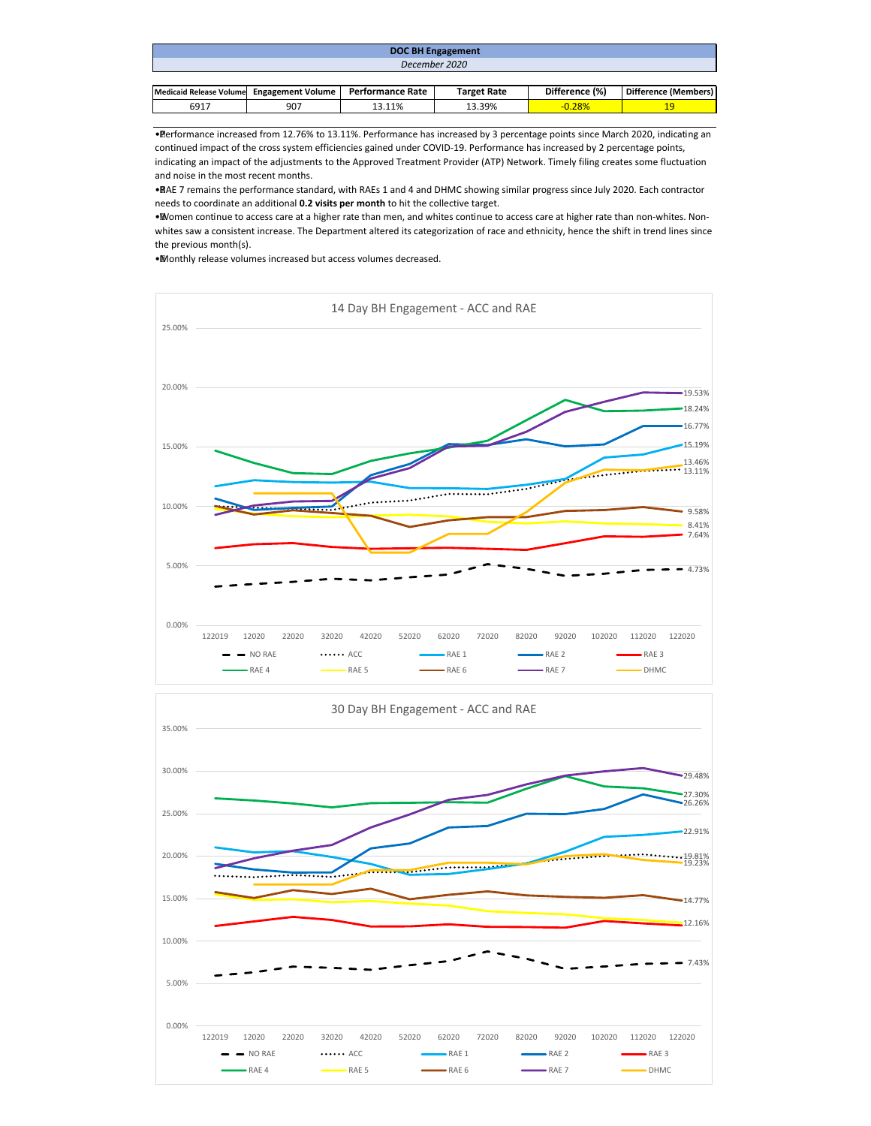| DOC BH Engagement                         |  |                  |                    |                |                      |  |  |  |
|-------------------------------------------|--|------------------|--------------------|----------------|----------------------|--|--|--|
| December 2020                             |  |                  |                    |                |                      |  |  |  |
|                                           |  |                  |                    |                |                      |  |  |  |
| Medicaid Release Volume Engagement Volume |  | Performance Rate | <b>Target Rate</b> | Difference (%) | Difference (Members) |  |  |  |

19

• Performance increased from 12.76% to 13.11%. Performance has increased by 3 percentage points since March 2020, indicating an continued impact of the cross system efficiencies gained under COVID-19. Performance has increased by 2 percentage points, indicating an impact of the adjustments to the Approved Treatment Provider (ATP) Network. Timely filing creates some fluctuation and noise in the most recent months.

6917 907 13.11% 13.39% -0.28%

• RAE 7 remains the performance standard, with RAEs 1 and 4 and DHMC showing similar progress since July 2020. Each contractor needs to coordinate an additional **0.2 visits per month** to hit the collective target.

• Women continue to access care at a higher rate than men, and whites continue to access care at higher rate than non-whites. Nonwhites saw a consistent increase. The Department altered its categorization of race and ethnicity, hence the shift in trend lines since the previous month(s).

• Monthly release volumes increased but access volumes decreased.